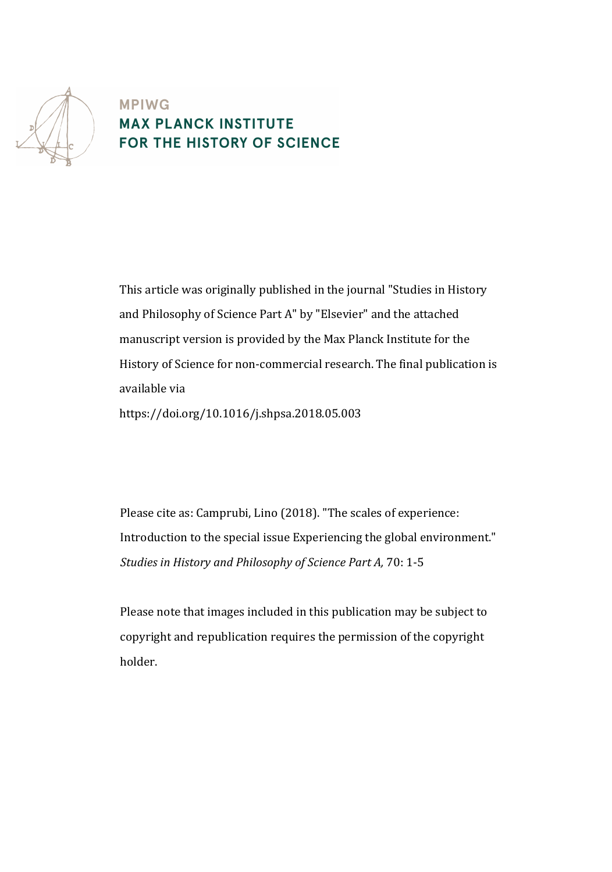# **MPIWG MAX PLANCK INSTITUTE** FOR THE HISTORY OF SCIENCE

This article was originally published in the journal "Studies in History and Philosophy of Science Part A" by "Elsevier" and the attached manuscript version is provided by the Max Planck Institute for the History of Science for non-commercial research. The final publication is available via https://doi.org/10.1016/j.shpsa.2018.05.003

Please cite as: Camprubi, Lino (2018). "The scales of experience: Introduction to the special issue Experiencing the global environment." *Studies in History and Philosophy of Science Part A,* 70: 1-5

Please note that images included in this publication may be subject to copyright and republication requires the permission of the copyright holder.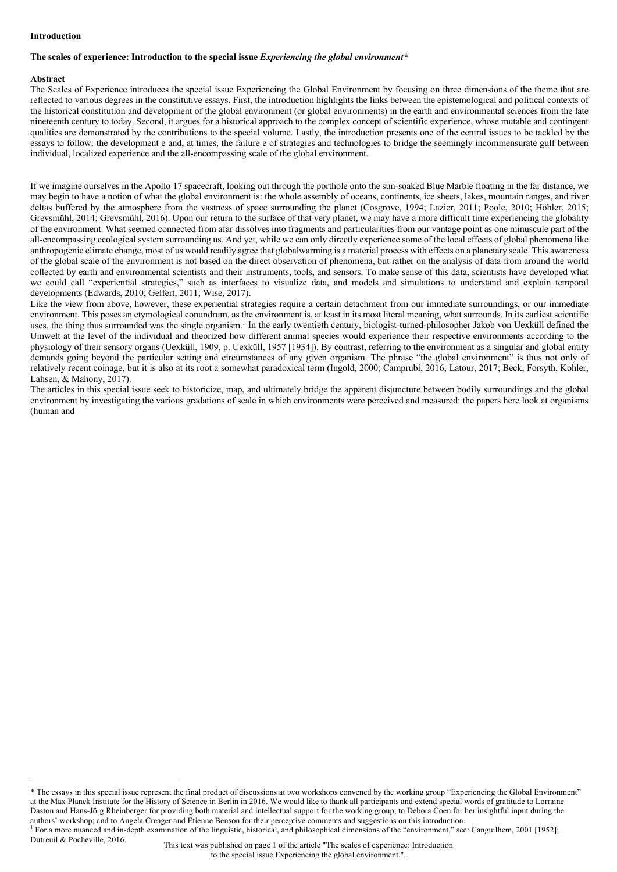#### **Introduction**

# **The scales of experience: Introduction to the special issue** *Experiencing the global environment\**

## **Abstract**

The Scales of Experience introduces the special issue Experiencing the Global Environment by focusing on three dimensions of the theme that are reflected to various degrees in the constitutive essays. First, the introduction highlights the links between the epistemological and political contexts of the historical constitution and development of the global environment (or global environments) in the earth and environmental sciences from the late nineteenth century to today. Second, it argues for a historical approach to the complex concept of scientific experience, whose mutable and contingent qualities are demonstrated by the contributions to the special volume. Lastly, the introduction presents one of the central issues to be tackled by the essays to follow: the development e and, at times, the failure e of strategies and technologies to bridge the seemingly incommensurate gulf between individual, localized experience and the all-encompassing scale of the global environment.

If we imagine ourselves in the Apollo 17 spacecraft, looking out through the porthole onto the sun-soaked Blue Marble floating in the far distance, we may begin to have a notion of what the global environment is: the whole assembly of oceans, continents, ice sheets, lakes, mountain ranges, and river deltas buffered by the atmosphere from the vastness of space surrounding the planet (Cosgrove, 1994; Lazier, 2011; Poole, 2010; Höhler, 2015; Grevsmühl, 2014; Grevsmühl, 2016). Upon our return to the surface of that very planet, we may have a more difficult time experiencing the globality of the environment. What seemed connected from afar dissolves into fragments and particularities from our vantage point as one minuscule part of the all-encompassing ecological system surrounding us. And yet, while we can only directly experience some of the local effects of global phenomena like anthropogenic climate change, most of us would readily agree that globalwarming is a material process with effects on a planetary scale. This awareness of the global scale of the environment is not based on the direct observation of phenomena, but rather on the analysis of data from around the world collected by earth and environmental scientists and their instruments, tools, and sensors. To make sense of this data, scientists have developed what we could call "experiential strategies," such as interfaces to visualize data, and models and simulations to understand and explain temporal developments (Edwards, 2010; Gelfert, 2011; Wise, 2017).

Like the view from above, however, these experiential strategies require a certain detachment from our immediate surroundings, or our immediate environment. This poses an etymological conundrum, as the environment is, at least in its most literal meaning, what surrounds. In its earliest scientific uses, the thing thus surrounded was the single organism.<sup>1</sup> In the early twentieth century, biologist-turned-philosopher Jakob von Uexküll defined the Umwelt at the level of the individual and theorized how different animal species would experience their respective environments according to the physiology of their sensory organs (Uexküll, 1909, p. Uexküll, 1957 [1934]). By contrast, referring to the environment as a singular and global entity demands going beyond the particular setting and circumstances of any given organism. The phrase "the global environment" is thus not only of relatively recent coinage, but it is also at its root a somewhat paradoxical term (Ingold, 2000; Camprubí, 2016; Latour, 2017; Beck, Forsyth, Kohler, Lahsen, & Mahony, 2017).

The articles in this special issue seek to historicize, map, and ultimately bridge the apparent disjuncture between bodily surroundings and the global environment by investigating the various gradations of scale in which environments were perceived and measured: the papers here look at organisms (human and

<sup>\*</sup> The essays in this special issue represent the final product of discussions at two workshops convened by the working group "Experiencing the Global Environment" at the Max Planck Institute for the History of Science in Berlin in 2016. We would like to thank all participants and extend special words of gratitude to Lorraine Daston and Hans-Jörg Rheinberger for providing both material and intellectual support for the working group; to Debora Coen for her insightful input during the authors' workshop; and to Angela Creager and Etienne Benson for their perceptive comments and suggestions on this introduction. <sup>1</sup> For a more nuanced and in-depth examination of the linguistic, historical, and philosophical dimensions of the "environment," see: Canguilhem, 2001 [1952];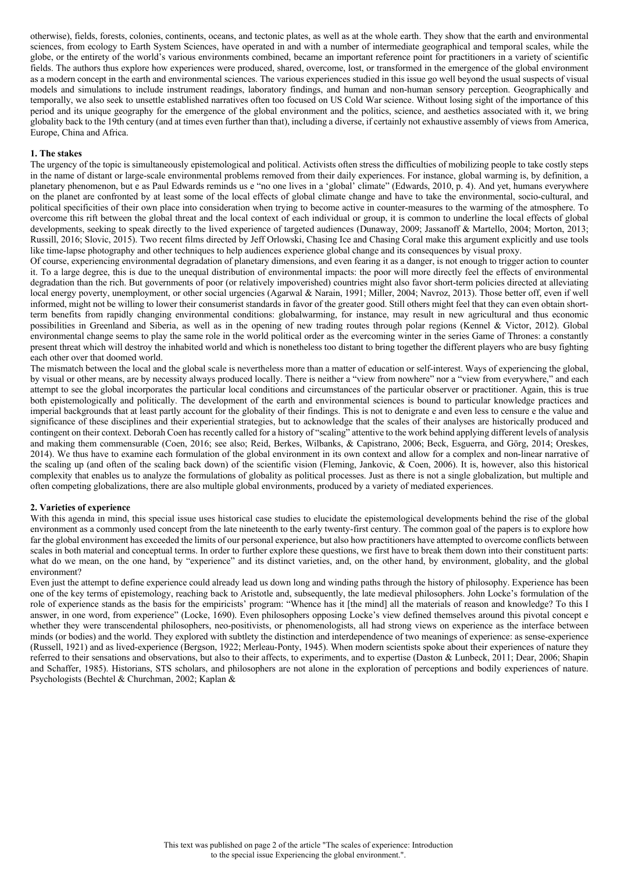otherwise), fields, forests, colonies, continents, oceans, and tectonic plates, as well as at the whole earth. They show that the earth and environmental sciences, from ecology to Earth System Sciences, have operated in and with a number of intermediate geographical and temporal scales, while the globe, or the entirety of the world's various environments combined, became an important reference point for practitioners in a variety of scientific fields. The authors thus explore how experiences were produced, shared, overcome, lost, or transformed in the emergence of the global environment as a modern concept in the earth and environmental sciences. The various experiences studied in this issue go well beyond the usual suspects of visual models and simulations to include instrument readings, laboratory findings, and human and non-human sensory perception. Geographically and temporally, we also seek to unsettle established narratives often too focused on US Cold War science. Without losing sight of the importance of this period and its unique geography for the emergence of the global environment and the politics, science, and aesthetics associated with it, we bring globality back to the 19th century (and at times even further than that), including a diverse, if certainly not exhaustive assembly of views from America, Europe, China and Africa.

## **1. The stakes**

The urgency of the topic is simultaneously epistemological and political. Activists often stress the difficulties of mobilizing people to take costly steps in the name of distant or large-scale environmental problems removed from their daily experiences. For instance, global warming is, by definition, a planetary phenomenon, but e as Paul Edwards reminds us e "no one lives in a 'global' climate" (Edwards, 2010, p. 4). And yet, humans everywhere on the planet are confronted by at least some of the local effects of global climate change and have to take the environmental, socio-cultural, and political specificities of their own place into consideration when trying to become active in counter-measures to the warming of the atmosphere. To overcome this rift between the global threat and the local context of each individual or group, it is common to underline the local effects of global developments, seeking to speak directly to the lived experience of targeted audiences (Dunaway, 2009; Jassanoff & Martello, 2004; Morton, 2013; Russill, 2016; Slovic, 2015). Two recent films directed by Jeff Orlowski, Chasing Ice and Chasing Coral make this argument explicitly and use tools like time-lapse photography and other techniques to help audiences experience global change and its consequences by visual proxy.

Of course, experiencing environmental degradation of planetary dimensions, and even fearing it as a danger, is not enough to trigger action to counter it. To a large degree, this is due to the unequal distribution of environmental impacts: the poor will more directly feel the effects of environmental degradation than the rich. But governments of poor (or relatively impoverished) countries might also favor short-term policies directed at alleviating local energy poverty, unemployment, or other social urgencies (Agarwal & Narain, 1991; Miller, 2004; Navroz, 2013). Those better off, even if well informed, might not be willing to lower their consumerist standards in favor of the greater good. Still others might feel that they can even obtain shortterm benefits from rapidly changing environmental conditions: globalwarming, for instance, may result in new agricultural and thus economic possibilities in Greenland and Siberia, as well as in the opening of new trading routes through polar regions (Kennel & Victor, 2012). Global environmental change seems to play the same role in the world political order as the evercoming winter in the series Game of Thrones: a constantly present threat which will destroy the inhabited world and which is nonetheless too distant to bring together the different players who are busy fighting each other over that doomed world.

The mismatch between the local and the global scale is nevertheless more than a matter of education or self-interest. Ways of experiencing the global, by visual or other means, are by necessity always produced locally. There is neither a "view from nowhere" nor a "view from everywhere," and each attempt to see the global incorporates the particular local conditions and circumstances of the particular observer or practitioner. Again, this is true both epistemologically and politically. The development of the earth and environmental sciences is bound to particular knowledge practices and imperial backgrounds that at least partly account for the globality of their findings. This is not to denigrate e and even less to censure e the value and significance of these disciplines and their experiential strategies, but to acknowledge that the scales of their analyses are historically produced and contingent on their context. Deborah Coen has recently called for a history of "scaling" attentive to the work behind applying different levels of analysis and making them commensurable (Coen, 2016; see also; Reid, Berkes, Wilbanks, & Capistrano, 2006; Beck, Esguerra, and Görg, 2014; Oreskes, 2014). We thus have to examine each formulation of the global environment in its own context and allow for a complex and non-linear narrative of the scaling up (and often of the scaling back down) of the scientific vision (Fleming, Jankovic, & Coen, 2006). It is, however, also this historical complexity that enables us to analyze the formulations of globality as political processes. Just as there is not a single globalization, but multiple and often competing globalizations, there are also multiple global environments, produced by a variety of mediated experiences.

#### **2. Varieties of experience**

With this agenda in mind, this special issue uses historical case studies to elucidate the epistemological developments behind the rise of the global environment as a commonly used concept from the late nineteenth to the early twenty-first century. The common goal of the papers is to explore how far the global environment has exceeded the limits of our personal experience, but also how practitioners have attempted to overcome conflicts between scales in both material and conceptual terms. In order to further explore these questions, we first have to break them down into their constituent parts: what do we mean, on the one hand, by "experience" and its distinct varieties, and, on the other hand, by environment, globality, and the global environment?

Even just the attempt to define experience could already lead us down long and winding paths through the history of philosophy. Experience has been one of the key terms of epistemology, reaching back to Aristotle and, subsequently, the late medieval philosophers. John Locke's formulation of the role of experience stands as the basis for the empiricists' program: "Whence has it [the mind] all the materials of reason and knowledge? To this I answer, in one word, from experience" (Locke, 1690). Even philosophers opposing Locke's view defined themselves around this pivotal concept e whether they were transcendental philosophers, neo-positivists, or phenomenologists, all had strong views on experience as the interface between minds (or bodies) and the world. They explored with subtlety the distinction and interdependence of two meanings of experience: as sense-experience (Russell, 1921) and as lived-experience (Bergson, 1922; Merleau-Ponty, 1945). When modern scientists spoke about their experiences of nature they referred to their sensations and observations, but also to their affects, to experiments, and to expertise (Daston & Lunbeck, 2011; Dear, 2006; Shapin and Schaffer, 1985). Historians, STS scholars, and philosophers are not alone in the exploration of perceptions and bodily experiences of nature. Psychologists (Bechtel & Churchman, 2002; Kaplan &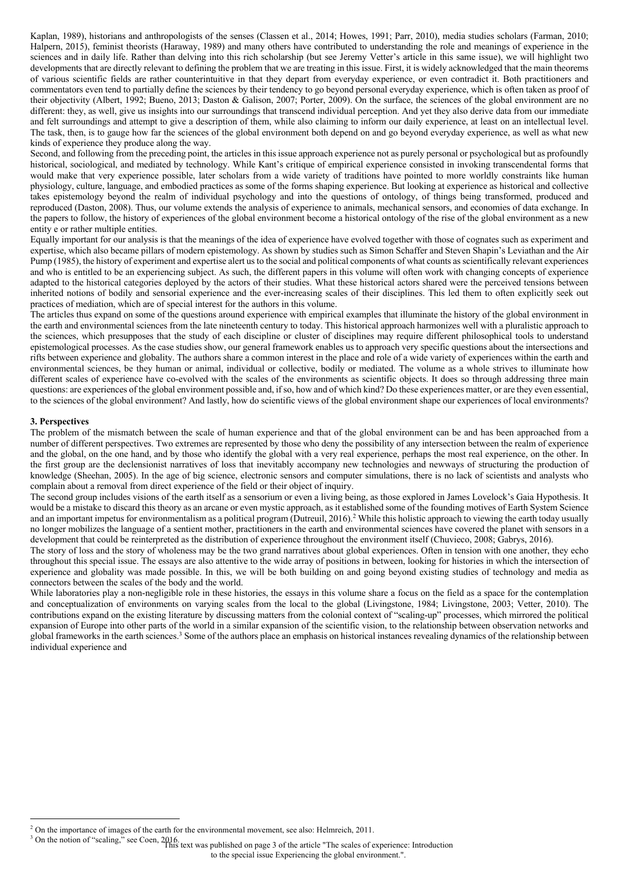Kaplan, 1989), historians and anthropologists of the senses (Classen et al., 2014; Howes, 1991; Parr, 2010), media studies scholars (Farman, 2010; Halpern, 2015), feminist theorists (Haraway, 1989) and many others have contributed to understanding the role and meanings of experience in the sciences and in daily life. Rather than delving into this rich scholarship (but see Jeremy Vetter's article in this same issue), we will highlight two developments that are directly relevant to defining the problem that we are treating in this issue. First, it is widely acknowledged that the main theorems of various scientific fields are rather counterintuitive in that they depart from everyday experience, or even contradict it. Both practitioners and commentators even tend to partially define the sciences by their tendency to go beyond personal everyday experience, which is often taken as proof of their objectivity (Albert, 1992; Bueno, 2013; Daston & Galison, 2007; Porter, 2009). On the surface, the sciences of the global environment are no different: they, as well, give us insights into our surroundings that transcend individual perception. And yet they also derive data from our immediate and felt surroundings and attempt to give a description of them, while also claiming to inform our daily experience, at least on an intellectual level. The task, then, is to gauge how far the sciences of the global environment both depend on and go beyond everyday experience, as well as what new kinds of experience they produce along the way.

Second, and following from the preceding point, the articles in this issue approach experience not as purely personal or psychological but as profoundly historical, sociological, and mediated by technology. While Kant's critique of empirical experience consisted in invoking transcendental forms that would make that very experience possible, later scholars from a wide variety of traditions have pointed to more worldly constraints like human physiology, culture, language, and embodied practices as some of the forms shaping experience. But looking at experience as historical and collective takes epistemology beyond the realm of individual psychology and into the questions of ontology, of things being transformed, produced and reproduced (Daston, 2008). Thus, our volume extends the analysis of experience to animals, mechanical sensors, and economies of data exchange. In the papers to follow, the history of experiences of the global environment become a historical ontology of the rise of the global environment as a new entity e or rather multiple entities.

Equally important for our analysis is that the meanings of the idea of experience have evolved together with those of cognates such as experiment and expertise, which also became pillars of modern epistemology. As shown by studies such as Simon Schaffer and Steven Shapin's Leviathan and the Air Pump (1985), the history of experiment and expertise alert us to the social and political components of what counts as scientifically relevant experiences and who is entitled to be an experiencing subject. As such, the different papers in this volume will often work with changing concepts of experience adapted to the historical categories deployed by the actors of their studies. What these historical actors shared were the perceived tensions between inherited notions of bodily and sensorial experience and the ever-increasing scales of their disciplines. This led them to often explicitly seek out practices of mediation, which are of special interest for the authors in this volume.

The articles thus expand on some of the questions around experience with empirical examples that illuminate the history of the global environment in the earth and environmental sciences from the late nineteenth century to today. This historical approach harmonizes well with a pluralistic approach to the sciences, which presupposes that the study of each discipline or cluster of disciplines may require different philosophical tools to understand epistemological processes. As the case studies show, our general framework enables us to approach very specific questions about the intersections and rifts between experience and globality. The authors share a common interest in the place and role of a wide variety of experiences within the earth and environmental sciences, be they human or animal, individual or collective, bodily or mediated. The volume as a whole strives to illuminate how different scales of experience have co-evolved with the scales of the environments as scientific objects. It does so through addressing three main questions: are experiences of the global environment possible and, ifso, how and of which kind? Do these experiences matter, or are they even essential, to the sciences of the global environment? And lastly, how do scientific views of the global environment shape our experiences of local environments?

## **3. Perspectives**

The problem of the mismatch between the scale of human experience and that of the global environment can be and has been approached from a number of different perspectives. Two extremes are represented by those who deny the possibility of any intersection between the realm of experience and the global, on the one hand, and by those who identify the global with a very real experience, perhaps the most real experience, on the other. In the first group are the declensionist narratives of loss that inevitably accompany new technologies and newways of structuring the production of knowledge (Sheehan, 2005). In the age of big science, electronic sensors and computer simulations, there is no lack of scientists and analysts who complain about a removal from direct experience of the field or their object of inquiry.

The second group includes visions of the earth itself as a sensorium or even a living being, as those explored in James Lovelock's Gaia Hypothesis. It would be a mistake to discard this theory as an arcane or even mystic approach, as it established some of the founding motives of Earth System Science and an important impetus for environmentalism as a political program (Dutreuil, 2016).<sup>2</sup> While this holistic approach to viewing the earth today usually no longer mobilizes the language of a sentient mother, practitioners in the earth and environmental sciences have covered the planet with sensors in a development that could be reinterpreted as the distribution of experience throughout the environment itself (Chuvieco, 2008; Gabrys, 2016).

The story of loss and the story of wholeness may be the two grand narratives about global experiences. Often in tension with one another, they echo throughout this special issue. The essays are also attentive to the wide array of positions in between, looking for histories in which the intersection of experience and globality was made possible. In this, we will be both building on and going beyond existing studies of technology and media as connectors between the scales of the body and the world.

While laboratories play a non-negligible role in these histories, the essays in this volume share a focus on the field as a space for the contemplation and conceptualization of environments on varying scales from the local to the global (Livingstone, 1984; Livingstone, 2003; Vetter, 2010). The contributions expand on the existing literature by discussing matters from the colonial context of "scaling-up" processes, which mirrored the political expansion of Europe into other parts of the world in a similar expansion of the scientific vision, to the relationship between observation networks and global frameworks in the earth sciences.<sup>3</sup> Some of the authors place an emphasis on historical instances revealing dynamics of the relationship between individual experience and

to the special issue Experiencing the global environment.".

<sup>&</sup>lt;sup>2</sup> On the importance of images of the earth for the environmental movement, see also: Helmreich, 2011.<br><sup>3</sup> On the notion of "scaling," see Coen, 2016.<br>This text was published on page 3 of the article "The scales of exper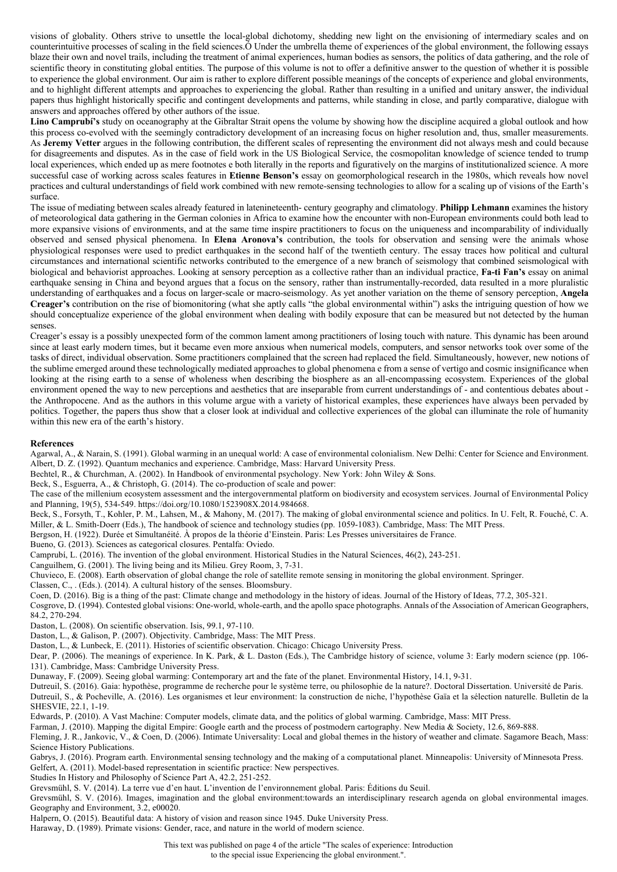visions of globality. Others strive to unsettle the local-global dichotomy, shedding new light on the envisioning of intermediary scales and on counterintuitive processes of scaling in the field sciences.Ó Under the umbrella theme of experiences of the global environment, the following essays blaze their own and novel trails, including the treatment of animal experiences, human bodies as sensors, the politics of data gathering, and the role of scientific theory in constituting global entities. The purpose of this volume is not to offer a definitive answer to the question of whether it is possible to experience the global environment. Our aim is rather to explore different possible meanings of the concepts of experience and global environments, and to highlight different attempts and approaches to experiencing the global. Rather than resulting in a unified and unitary answer, the individual papers thus highlight historically specific and contingent developments and patterns, while standing in close, and partly comparative, dialogue with answers and approaches offered by other authors of the issue.

**Lino Camprubí's** study on oceanography at the Gibraltar Strait opens the volume by showing how the discipline acquired a global outlook and how this process co-evolved with the seemingly contradictory development of an increasing focus on higher resolution and, thus, smaller measurements. As **Jeremy Vetter** argues in the following contribution, the different scales of representing the environment did not always mesh and could because for disagreements and disputes. As in the case of field work in the US Biological Service, the cosmopolitan knowledge of science tended to trump local experiences, which ended up as mere footnotes e both literally in the reports and figuratively on the margins of institutionalized science. A more successful case of working across scales features in **Etienne Benson's** essay on geomorphological research in the 1980s, which reveals how novel practices and cultural understandings of field work combined with new remote-sensing technologies to allow for a scaling up of visions of the Earth's surface.

The issue of mediating between scales already featured in latenineteenth- century geography and climatology. **Philipp Lehmann** examines the history of meteorological data gathering in the German colonies in Africa to examine how the encounter with non-European environments could both lead to more expansive visions of environments, and at the same time inspire practitioners to focus on the uniqueness and incomparability of individually observed and sensed physical phenomena. In **Elena Aronova's** contribution, the tools for observation and sensing were the animals whose physiological responses were used to predict earthquakes in the second half of the twentieth century. The essay traces how political and cultural circumstances and international scientific networks contributed to the emergence of a new branch of seismology that combined seismological with biological and behaviorist approaches. Looking at sensory perception as a collective rather than an individual practice, **Fa-ti Fan's** essay on animal earthquake sensing in China and beyond argues that a focus on the sensory, rather than instrumentally-recorded, data resulted in a more pluralistic understanding of earthquakes and a focus on larger-scale or macro-seismology. As yet another variation on the theme of sensory perception, **Angela Creager's** contribution on the rise of biomonitoring (what she aptly calls "the global environmental within") asks the intriguing question of how we should conceptualize experience of the global environment when dealing with bodily exposure that can be measured but not detected by the human senses.

Creager's essay is a possibly unexpected form of the common lament among practitioners of losing touch with nature. This dynamic has been around since at least early modern times, but it became even more anxious when numerical models, computers, and sensor networks took over some of the tasks of direct, individual observation. Some practitioners complained that the screen had replaced the field. Simultaneously, however, new notions of the sublime emerged around these technologically mediated approaches to global phenomena e from a sense of vertigo and cosmic insignificance when looking at the rising earth to a sense of wholeness when describing the biosphere as an all-encompassing ecosystem. Experiences of the global environment opened the way to new perceptions and aesthetics that are inseparable from current understandings of - and contentious debates about the Anthropocene. And as the authors in this volume argue with a variety of historical examples, these experiences have always been pervaded by politics. Together, the papers thus show that a closer look at individual and collective experiences of the global can illuminate the role of humanity within this new era of the earth's history.

#### **References**

Agarwal, A., & Narain, S. (1991). Global warming in an unequal world: A case of environmental colonialism. New Delhi: Center for Science and Environment. Albert, D. Z. (1992). Quantum mechanics and experience. Cambridge, Mass: Harvard University Press.

Bechtel, R., & Churchman, A. (2002). In Handbook of environmental psychology. New York: John Wiley & Sons.

Beck, S., Esguerra, A., & Christoph, G. (2014). The co-production of scale and power:

The case of the millenium ecosystem assessment and the intergovernmental platform on biodiversity and ecosystem services. Journal of Environmental Policy and Planning, 19(5), 534-549. https://doi.org/10.1080/1523908X.2014.984668.

Beck, S., Forsyth, T., Kohler, P. M., Lahsen, M., & Mahony, M. (2017). The making of global environmental science and politics. In U. Felt, R. Fouché, C. A. Miller, & L. Smith-Doerr (Eds.), The handbook of science and technology studies (pp. 1059-1083). Cambridge, Mass: The MIT Press.

Bergson, H. (1922). Durée et Simultanéité. À propos de la théorie d'Einstein. Paris: Les Presses universitaires de France.

Bueno, G. (2013). Sciences as categorical closures. Pentalfa: Oviedo.

Camprubí, L. (2016). The invention of the global environment. Historical Studies in the Natural Sciences, 46(2), 243-251.

Canguilhem, G. (2001). The living being and its Milieu. Grey Room, 3, 7-31.

Chuvieco, E. (2008). Earth observation of global change the role of satellite remote sensing in monitoring the global environment. Springer.

Classen, C., . (Eds.). (2014). A cultural history of the senses. Bloomsbury.

Coen, D. (2016). Big is a thing of the past: Climate change and methodology in the history of ideas. Journal of the History of Ideas, 77.2, 305-321.

Cosgrove, D. (1994). Contested global visions: One-world, whole-earth, and the apollo space photographs. Annals of the Association of American Geographers, 84.2, 270-294.

Daston, L. (2008). On scientific observation. Isis, 99.1, 97-110.

Daston, L., & Galison, P. (2007). Objectivity. Cambridge, Mass: The MIT Press.

Daston, L., & Lunbeck, E. (2011). Histories of scientific observation. Chicago: Chicago University Press.

Dear, P. (2006). The meanings of experience. In K. Park, & L. Daston (Eds.), The Cambridge history of science, volume 3: Early modern science (pp. 106- 131). Cambridge, Mass: Cambridge University Press.

Dunaway, F. (2009). Seeing global warming: Contemporary art and the fate of the planet. Environmental History, 14.1, 9-31.

Dutreuil, S. (2016). Gaia: hypothèse, programme de recherche pour le système terre, ou philosophie de la nature?. Doctoral Dissertation. Université de Paris. Dutreuil, S., & Pocheville, A. (2016). Les organismes et leur environment: la construction de niche, l'hypothèse Gaïa et la sélection naturelle. Bulletin de la

SHESVIE, 22.1, 1-19.

Edwards, P. (2010). A Vast Machine: Computer models, climate data, and the politics of global warming. Cambridge, Mass: MIT Press.

Farman, J. (2010). Mapping the digital Empire: Google earth and the process of postmodern cartography. New Media & Society, 12.6, 869-888.

Fleming, J. R., Jankovic, V., & Coen, D. (2006). Intimate Universality: Local and global themes in the history of weather and climate. Sagamore Beach, Mass: Science History Publications.

Gabrys, J. (2016). Program earth. Environmental sensing technology and the making of a computational planet. Minneapolis: University of Minnesota Press. Gelfert, A. (2011). Model-based representation in scientific practice: New perspectives.

Studies In History and Philosophy of Science Part A, 42.2, 251-252.

Grevsmühl, S. V. (2014). La terre vue d'en haut. L'invention de l'environnement global. Paris: Éditions du Seuil.

Grevsmühl, S. V. (2016). Images, imagination and the global environment:towards an interdisciplinary research agenda on global environmental images. Geography and Environment, 3.2, e00020.

Halpern, O. (2015). Beautiful data: A history of vision and reason since 1945. Duke University Press.

Haraway, D. (1989). Primate visions: Gender, race, and nature in the world of modern science.

This text was published on page 4 of the article "The scales of experience: Introduction to the special issue Experiencing the global environment.".